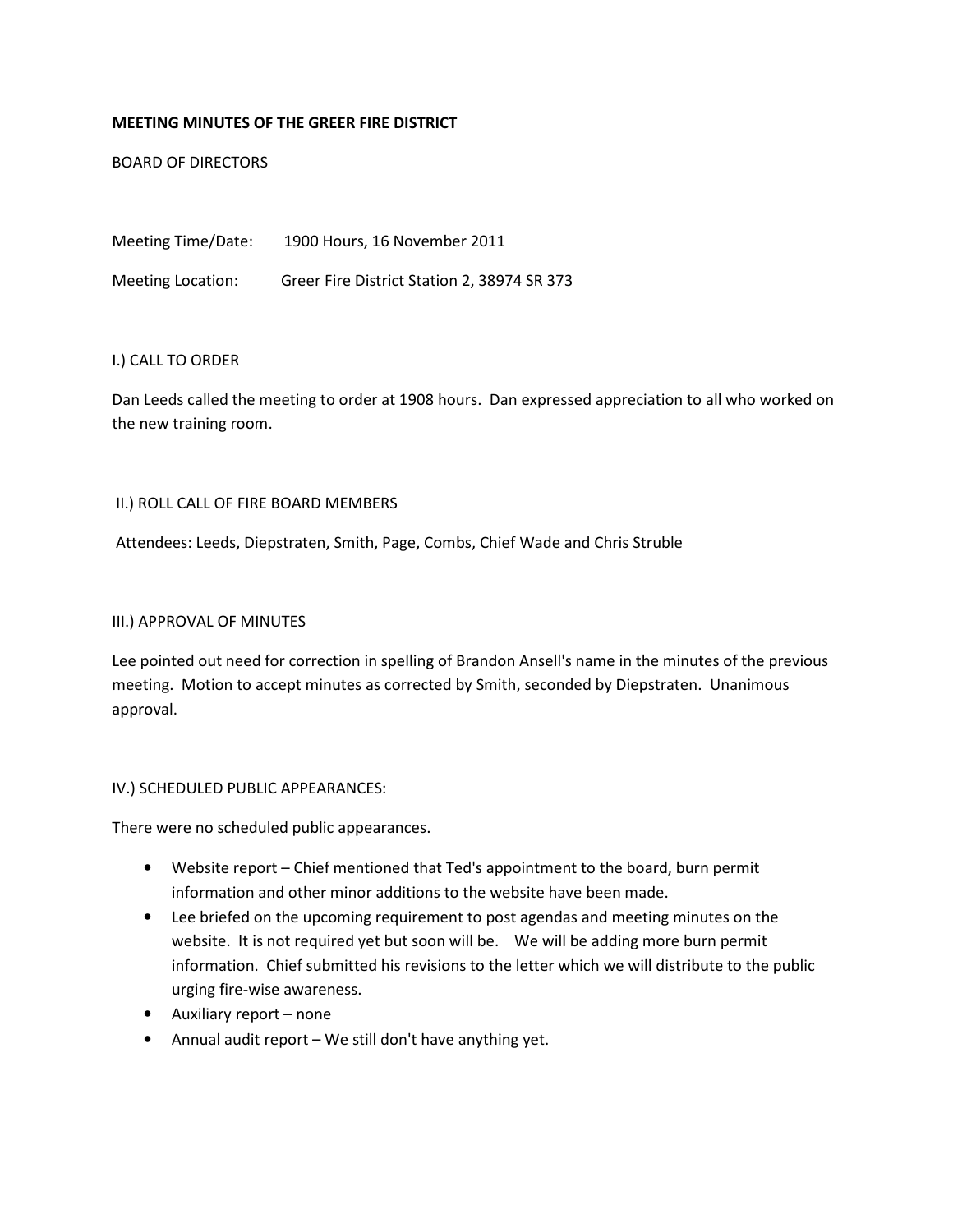## MEETING MINUTES OF THE GREER FIRE DISTRICT

BOARD OF DIRECTORS

Meeting Time/Date: 1900 Hours, 16 November 2011 Meeting Location: Greer Fire District Station 2, 38974 SR 373

### I.) CALL TO ORDER

Dan Leeds called the meeting to order at 1908 hours. Dan expressed appreciation to all who worked on the new training room.

### II.) ROLL CALL OF FIRE BOARD MEMBERS

Attendees: Leeds, Diepstraten, Smith, Page, Combs, Chief Wade and Chris Struble

#### III.) APPROVAL OF MINUTES

Lee pointed out need for correction in spelling of Brandon Ansell's name in the minutes of the previous meeting. Motion to accept minutes as corrected by Smith, seconded by Diepstraten. Unanimous approval.

## IV.) SCHEDULED PUBLIC APPEARANCES:

There were no scheduled public appearances.

- Website report Chief mentioned that Ted's appointment to the board, burn permit information and other minor additions to the website have been made.
- Lee briefed on the upcoming requirement to post agendas and meeting minutes on the website. It is not required yet but soon will be. We will be adding more burn permit information. Chief submitted his revisions to the letter which we will distribute to the public urging fire-wise awareness.
- Auxiliary report none
- Annual audit report We still don't have anything yet.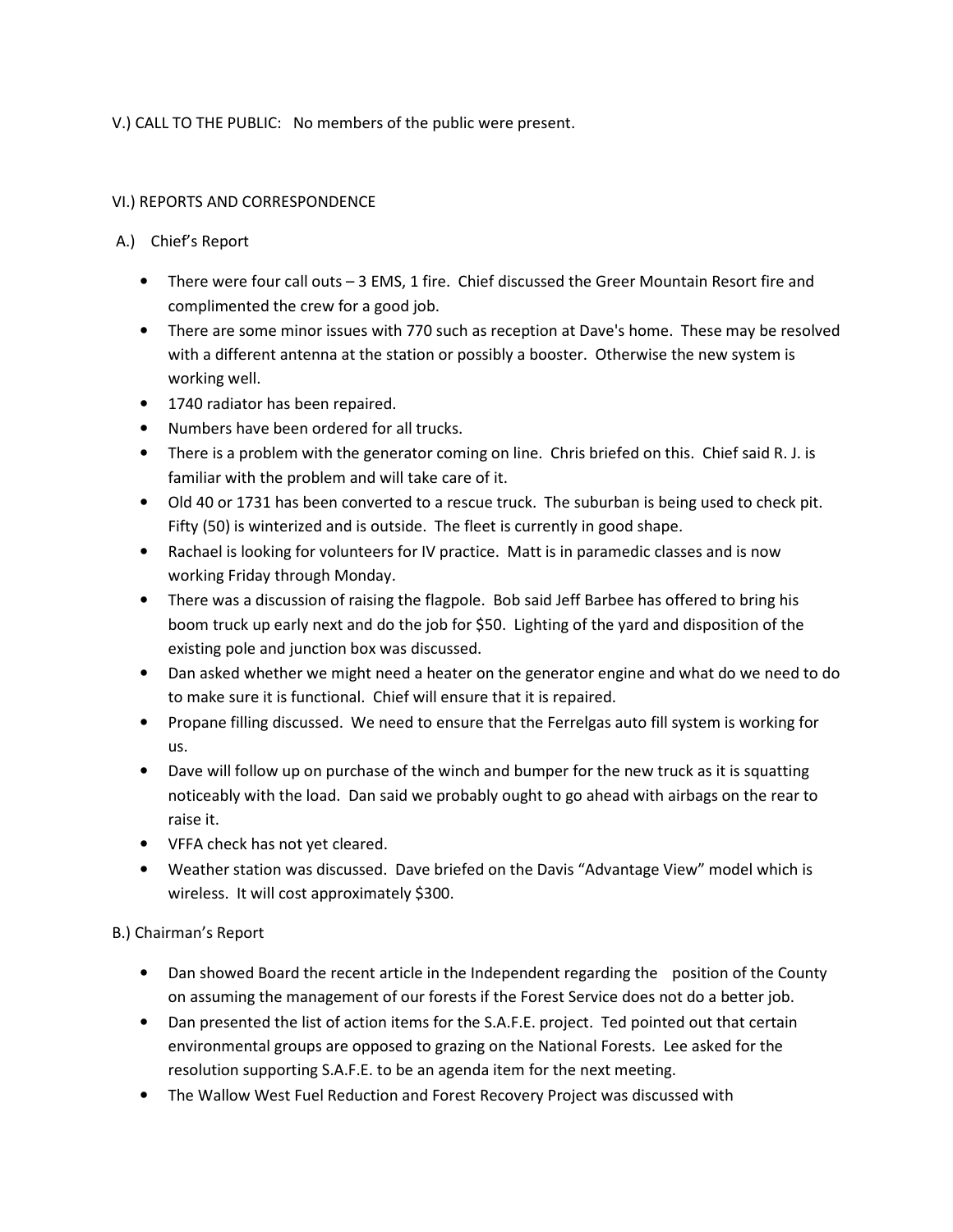V.) CALL TO THE PUBLIC: No members of the public were present.

## VI.) REPORTS AND CORRESPONDENCE

# A.) Chief's Report

- There were four call outs 3 EMS, 1 fire. Chief discussed the Greer Mountain Resort fire and complimented the crew for a good job.
- There are some minor issues with 770 such as reception at Dave's home. These may be resolved with a different antenna at the station or possibly a booster. Otherwise the new system is working well.
- 1740 radiator has been repaired.
- Numbers have been ordered for all trucks.
- There is a problem with the generator coming on line. Chris briefed on this. Chief said R. J. is familiar with the problem and will take care of it.
- Old 40 or 1731 has been converted to a rescue truck. The suburban is being used to check pit. Fifty (50) is winterized and is outside. The fleet is currently in good shape.
- Rachael is looking for volunteers for IV practice. Matt is in paramedic classes and is now working Friday through Monday.
- There was a discussion of raising the flagpole. Bob said Jeff Barbee has offered to bring his boom truck up early next and do the job for \$50. Lighting of the yard and disposition of the existing pole and junction box was discussed.
- Dan asked whether we might need a heater on the generator engine and what do we need to do to make sure it is functional. Chief will ensure that it is repaired.
- Propane filling discussed. We need to ensure that the Ferrelgas auto fill system is working for us.
- Dave will follow up on purchase of the winch and bumper for the new truck as it is squatting noticeably with the load. Dan said we probably ought to go ahead with airbags on the rear to raise it.
- VFFA check has not yet cleared.
- Weather station was discussed. Dave briefed on the Davis "Advantage View" model which is wireless. It will cost approximately \$300.

# B.) Chairman's Report

- Dan showed Board the recent article in the Independent regarding the position of the County on assuming the management of our forests if the Forest Service does not do a better job.
- Dan presented the list of action items for the S.A.F.E. project. Ted pointed out that certain environmental groups are opposed to grazing on the National Forests. Lee asked for the resolution supporting S.A.F.E. to be an agenda item for the next meeting.
- The Wallow West Fuel Reduction and Forest Recovery Project was discussed with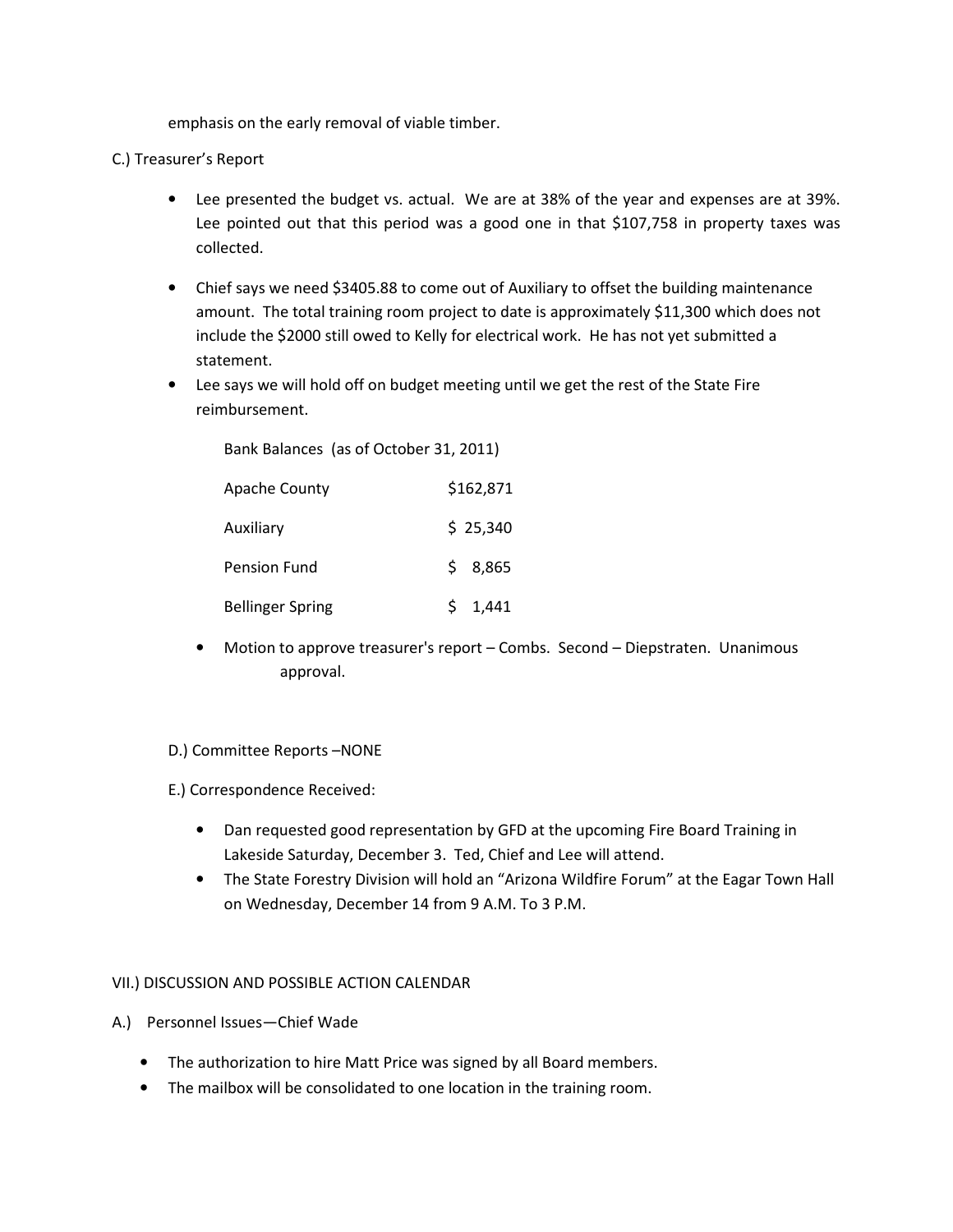emphasis on the early removal of viable timber.

# C.) Treasurer's Report

- Lee presented the budget vs. actual. We are at 38% of the year and expenses are at 39%. Lee pointed out that this period was a good one in that \$107,758 in property taxes was collected.
- Chief says we need \$3405.88 to come out of Auxiliary to offset the building maintenance amount. The total training room project to date is approximately \$11,300 which does not include the \$2000 still owed to Kelly for electrical work. He has not yet submitted a statement.
- Lee says we will hold off on budget meeting until we get the rest of the State Fire reimbursement.

Bank Balances (as of October 31, 2011)

| <b>Apache County</b>    | \$162,871 |
|-------------------------|-----------|
| Auxiliary               | \$25,340  |
| Pension Fund            | \$8,865   |
| <b>Bellinger Spring</b> | 1,441     |

• Motion to approve treasurer's report – Combs. Second – Diepstraten. Unanimous approval.

## D.) Committee Reports –NONE

E.) Correspondence Received:

- Dan requested good representation by GFD at the upcoming Fire Board Training in Lakeside Saturday, December 3. Ted, Chief and Lee will attend.
- The State Forestry Division will hold an "Arizona Wildfire Forum" at the Eagar Town Hall on Wednesday, December 14 from 9 A.M. To 3 P.M.

## VII.) DISCUSSION AND POSSIBLE ACTION CALENDAR

- A.) Personnel Issues—Chief Wade
	- The authorization to hire Matt Price was signed by all Board members.
	- The mailbox will be consolidated to one location in the training room.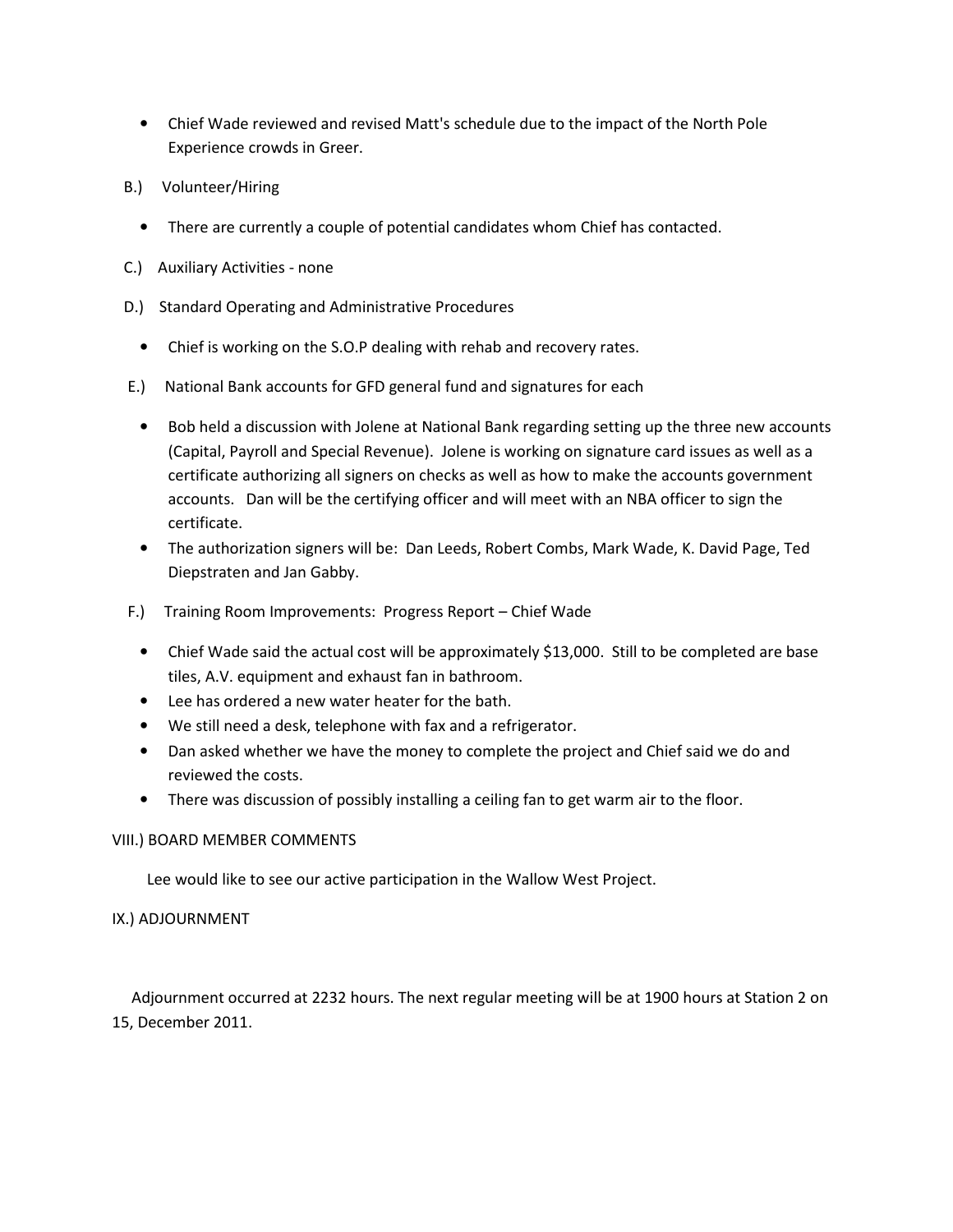- Chief Wade reviewed and revised Matt's schedule due to the impact of the North Pole Experience crowds in Greer.
- B.) Volunteer/Hiring
	- There are currently a couple of potential candidates whom Chief has contacted.
- C.) Auxiliary Activities none
- D.) Standard Operating and Administrative Procedures
	- Chief is working on the S.O.P dealing with rehab and recovery rates.
- E.) National Bank accounts for GFD general fund and signatures for each
	- Bob held a discussion with Jolene at National Bank regarding setting up the three new accounts (Capital, Payroll and Special Revenue). Jolene is working on signature card issues as well as a certificate authorizing all signers on checks as well as how to make the accounts government accounts. Dan will be the certifying officer and will meet with an NBA officer to sign the certificate.
	- The authorization signers will be: Dan Leeds, Robert Combs, Mark Wade, K. David Page, Ted Diepstraten and Jan Gabby.
- F.) Training Room Improvements: Progress Report Chief Wade
	- Chief Wade said the actual cost will be approximately \$13,000. Still to be completed are base tiles, A.V. equipment and exhaust fan in bathroom.
	- Lee has ordered a new water heater for the bath.
	- We still need a desk, telephone with fax and a refrigerator.
	- Dan asked whether we have the money to complete the project and Chief said we do and reviewed the costs.
	- There was discussion of possibly installing a ceiling fan to get warm air to the floor.

## VIII.) BOARD MEMBER COMMENTS

Lee would like to see our active participation in the Wallow West Project.

## IX.) ADJOURNMENT

 Adjournment occurred at 2232 hours. The next regular meeting will be at 1900 hours at Station 2 on 15, December 2011.